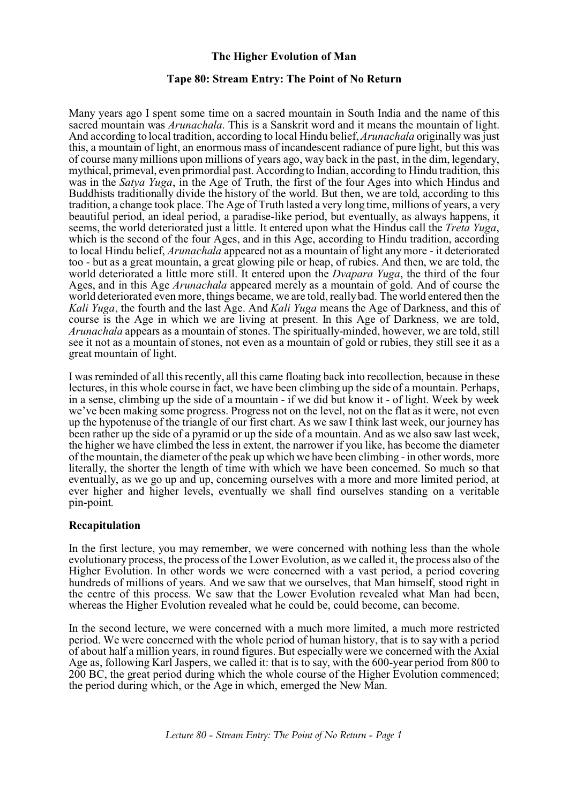# **The Higher Evolution of Man**

#### **Tape 80: Stream Entry: The Point of No Return**

Many years ago I spent some time on a sacred mountain in South India and the name of this sacred mountain was *Arunachala*. This is a Sanskrit word and it means the mountain of light. And according to local tradition, according to local Hindu belief, *Arunachala* originally was just this, a mountain of light, an enormous mass of incandescent radiance of pure light, but this was of course many millions upon millions of years ago, way back in the past, in the dim, legendary, mythical, primeval, even primordial past. According to Indian, according to Hindu tradition, this was in the *Satya Yuga*, in the Age of Truth, the first of the four Ages into which Hindus and Buddhists traditionally divide the history of the world. But then, we are told, according to this tradition, a change took place. The Age of Truth lasted a very long time, millions of years, a very beautiful period, an ideal period, a paradise-like period, but eventually, as always happens, it seems, the world deteriorated just a little. It entered upon what the Hindus call the *Treta Yuga*, which is the second of the four Ages, and in this Age, according to Hindu tradition, according to local Hindu belief, *Arunachala* appeared not as a mountain of light any more - it deteriorated too - but as a great mountain, a great glowing pile or heap, of rubies. And then, we are told, the world deteriorated a little more still. It entered upon the *Dvapara Yuga*, the third of the four Ages, and in this Age *Arunachala* appeared merely as a mountain of gold. And of course the world deteriorated even more, things became, we are told, really bad. The world entered then the *Kali Yuga*, the fourth and the last Age. And *Kali Yuga* means the Age of Darkness, and this of course is the Age in which we are living at present. In this Age of Darkness, we are told, *Arunachala* appears as a mountain of stones. The spiritually-minded, however, we are told, still see it not as a mountain of stones, not even as a mountain of gold or rubies, they still see it as a great mountain of light.

I was reminded of all this recently, all this came floating back into recollection, because in these lectures, in this whole course in fact, we have been climbing up the side of a mountain. Perhaps, in a sense, climbing up the side of a mountain - if we did but know it - of light. Week by week we've been making some progress. Progress not on the level, not on the flat as it were, not even up the hypotenuse of the triangle of our first chart. As we saw I think last week, our journey has been rather up the side of a pyramid or up the side of a mountain. And as we also saw last week, the higher we have climbed the less in extent, the narrower if you like, has become the diameter of the mountain, the diameter of the peak up which we have been climbing - in other words, more literally, the shorter the length of time with which we have been concerned. So much so that eventually, as we go up and up, concerning ourselves with a more and more limited period, at ever higher and higher levels, eventually we shall find ourselves standing on a veritable pin-point.

### **Recapitulation**

In the first lecture, you may remember, we were concerned with nothing less than the whole evolutionary process, the process of the Lower Evolution, as we called it, the process also of the Higher Evolution. In other words we were concerned with a vast period, a period covering hundreds of millions of years. And we saw that we ourselves, that Man himself, stood right in the centre of this process. We saw that the Lower Evolution revealed what Man had been, whereas the Higher Evolution revealed what he could be, could become, can become.

In the second lecture, we were concerned with a much more limited, a much more restricted period. We were concerned with the whole period of human history, that is to say with a period of about half a million years, in round figures. But especially were we concerned with the Axial Age as, following Karl Jaspers, we called it: that is to say, with the 600-year period from 800 to 200 BC, the great period during which the whole course of the Higher Evolution commenced; the period during which, or the Age in which, emerged the New Man.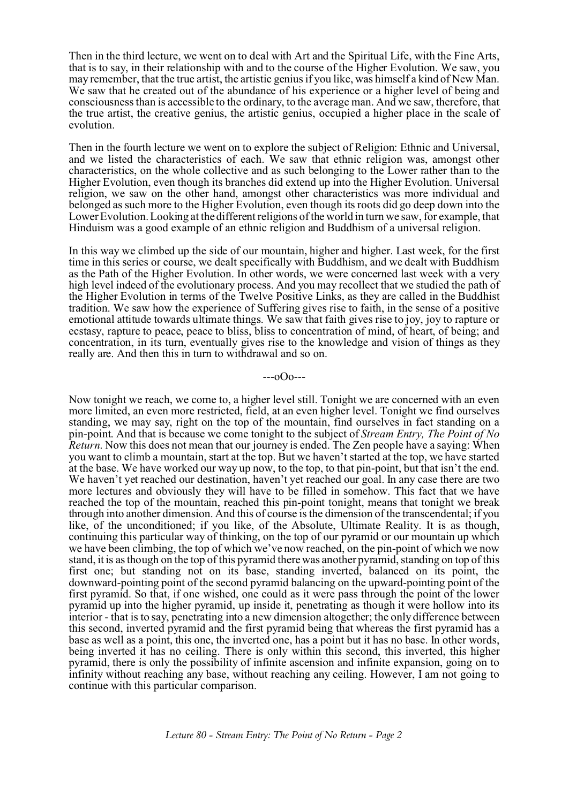Then in the third lecture, we went on to deal with Art and the Spiritual Life, with the Fine Arts, that is to say, in their relationship with and to the course of the Higher Evolution. We saw, you may remember, that the true artist, the artistic genius if you like, was himself a kind of New Man. We saw that he created out of the abundance of his experience or a higher level of being and consciousness than is accessible to the ordinary, to the average man. And we saw, therefore, that the true artist, the creative genius, the artistic genius, occupied a higher place in the scale of evolution.

Then in the fourth lecture we went on to explore the subject of Religion: Ethnic and Universal, and we listed the characteristics of each. We saw that ethnic religion was, amongst other characteristics, on the whole collective and as such belonging to the Lower rather than to the Higher Evolution, even though its branches did extend up into the Higher Evolution. Universal religion, we saw on the other hand, amongst other characteristics was more individual and belonged as such more to the Higher Evolution, even though its roots did go deep down into the Lower Evolution. Looking at the different religions of the world in turn we saw, for example, that Hinduism was a good example of an ethnic religion and Buddhism of a universal religion.

In this way we climbed up the side of our mountain, higher and higher. Last week, for the first time in this series or course, we dealt specifically with Buddhism, and we dealt with Buddhism as the Path of the Higher Evolution. In other words, we were concerned last week with a very high level indeed of the evolutionary process. And you may recollect that we studied the path of the Higher Evolution in terms of the Twelve Positive Links, as they are called in the Buddhist tradition. We saw how the experience of Suffering gives rise to faith, in the sense of a positive emotional attitude towards ultimate things. We saw that faith gives rise to joy, joy to rapture or ecstasy, rapture to peace, peace to bliss, bliss to concentration of mind, of heart, of being; and concentration, in its turn, eventually gives rise to the knowledge and vision of things as they really are. And then this in turn to withdrawal and so on.

---oOo---

Now tonight we reach, we come to, a higher level still. Tonight we are concerned with an even more limited, an even more restricted, field, at an even higher level. Tonight we find ourselves standing, we may say, right on the top of the mountain, find ourselves in fact standing on a pin-point. And that is because we come tonight to the subject of *Stream Entry, The Point of No Return*. Now this does not mean that our journey is ended. The Zen people have a saying: When you want to climb a mountain, start at the top. But we haven't started at the top, we have started at the base. We have worked our way up now, to the top, to that pin-point, but that isn't the end. We haven't yet reached our destination, haven't yet reached our goal. In any case there are two more lectures and obviously they will have to be filled in somehow. This fact that we have reached the top of the mountain, reached this pin-point tonight, means that tonight we break through into another dimension. And this of course is the dimension of the transcendental; if you like, of the unconditioned; if you like, of the Absolute, Ultimate Reality. It is as though, continuing this particular way of thinking, on the top of our pyramid or our mountain up which we have been climbing, the top of which we've now reached, on the pin-point of which we now stand, it is as though on the top of this pyramid there was another pyramid, standing on top of this first one; but standing not on its base, standing inverted, balanced on its point, the downward-pointing point of the second pyramid balancing on the upward-pointing point of the first pyramid. So that, if one wished, one could as it were pass through the point of the lower pyramid up into the higher pyramid, up inside it, penetrating as though it were hollow into its interior - that is to say, penetrating into a new dimension altogether; the only difference between this second, inverted pyramid and the first pyramid being that whereas the first pyramid has a base as well as a point, this one, the inverted one, has a point but it has no base. In other words, being inverted it has no ceiling. There is only within this second, this inverted, this higher pyramid, there is only the possibility of infinite ascension and infinite expansion, going on to infinity without reaching any base, without reaching any ceiling. However, I am not going to continue with this particular comparison.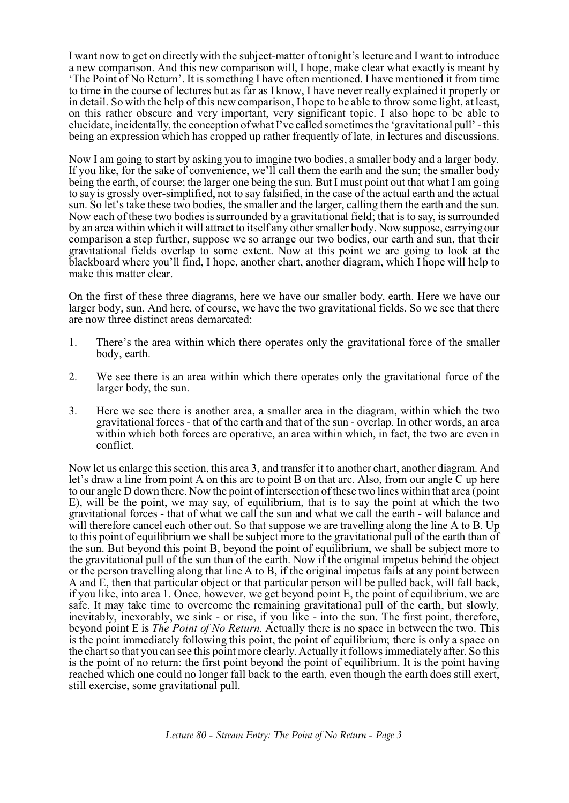I want now to get on directly with the subject-matter of tonight's lecture and I want to introduce a new comparison. And this new comparison will, I hope, make clear what exactly is meant by 'The Point of No Return'. It is something I have often mentioned. I have mentioned it from time to time in the course of lectures but as far as I know, I have never really explained it properly or in detail. So with the help of this new comparison, I hope to be able to throw some light, at least, on this rather obscure and very important, very significant topic. I also hope to be able to elucidate, incidentally, the conception of what I've called sometimes the 'gravitational pull' - this being an expression which has cropped up rather frequently of late, in lectures and discussions.

Now I am going to start by asking you to imagine two bodies, a smaller body and a larger body. If you like, for the sake of convenience, we'll call them the earth and the sun; the smaller body being the earth, of course; the larger one being the sun. But I must point out that what I am going to say is grossly over-simplified, not to say falsified, in the case of the actual earth and the actual sun. So let's take these two bodies, the smaller and the larger, calling them the earth and the sun. Now each of these two bodies is surrounded by a gravitational field; that is to say, is surrounded by an area within which it will attract to itself any other smaller body. Now suppose, carrying our comparison a step further, suppose we so arrange our two bodies, our earth and sun, that their gravitational fields overlap to some extent. Now at this point we are going to look at the blackboard where you'll find, I hope, another chart, another diagram, which I hope will help to make this matter clear.

On the first of these three diagrams, here we have our smaller body, earth. Here we have our larger body, sun. And here, of course, we have the two gravitational fields. So we see that there are now three distinct areas demarcated:

- 1. There's the area within which there operates only the gravitational force of the smaller body, earth.
- 2. We see there is an area within which there operates only the gravitational force of the larger body, the sun.
- 3. Here we see there is another area, a smaller area in the diagram, within which the two gravitational forces - that of the earth and that of the sun - overlap. In other words, an area within which both forces are operative, an area within which, in fact, the two are even in conflict.

Now let us enlarge this section, this area 3, and transfer it to another chart, another diagram. And let's draw a line from point A on this arc to point B on that arc. Also, from our angle C up here to our angle D down there. Now the point of intersection of these two lines within that area (point E), will be the point, we may say, of equilibrium, that is to say the point at which the two gravitational forces - that of what we call the sun and what we call the earth - will balance and will therefore cancel each other out. So that suppose we are travelling along the line A to B. Up to this point of equilibrium we shall be subject more to the gravitational pull of the earth than of the sun. But beyond this point B, beyond the point of equilibrium, we shall be subject more to the gravitational pull of the sun than of the earth. Now if the original impetus behind the object or the person travelling along that line A to B, if the original impetus fails at any point between A and E, then that particular object or that particular person will be pulled back, will fall back, if you like, into area 1. Once, however, we get beyond point E, the point of equilibrium, we are safe. It may take time to overcome the remaining gravitational pull of the earth, but slowly, inevitably, inexorably, we sink - or rise, if you like - into the sun. The first point, therefore, beyond point E is *The Point of No Return*. Actually there is no space in between the two. This is the point immediately following this point, the point of equilibrium; there is only a space on the chart so that you can see this point more clearly. Actually it follows immediately after. So this is the point of no return: the first point beyond the point of equilibrium. It is the point having reached which one could no longer fall back to the earth, even though the earth does still exert, still exercise, some gravitational pull.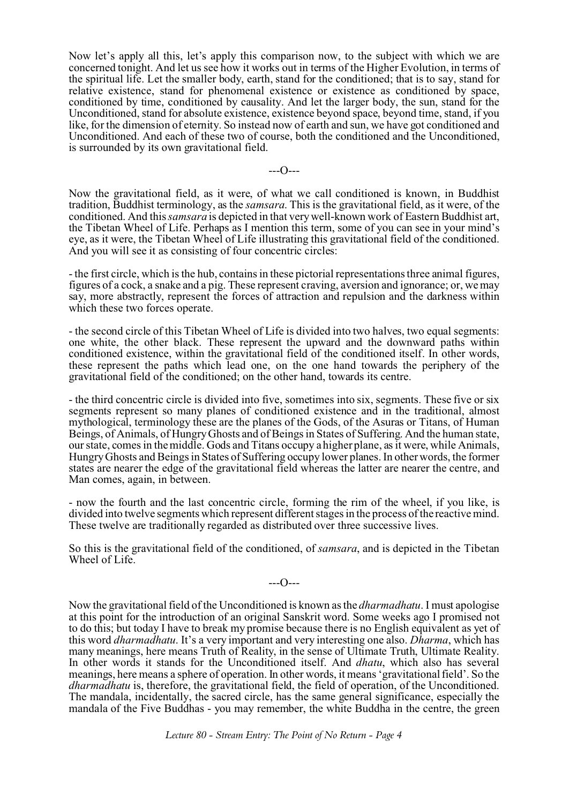Now let's apply all this, let's apply this comparison now, to the subject with which we are concerned tonight. And let us see how it works out in terms of the Higher Evolution, in terms of the spiritual life. Let the smaller body, earth, stand for the conditioned; that is to say, stand for relative existence, stand for phenomenal existence or existence as conditioned by space, conditioned by time, conditioned by causality. And let the larger body, the sun, stand for the Unconditioned, stand for absolute existence, existence beyond space, beyond time, stand, if you like, for the dimension of eternity. So instead now of earth and sun, we have got conditioned and Unconditioned. And each of these two of course, both the conditioned and the Unconditioned, is surrounded by its own gravitational field.

 $---O---$ 

Now the gravitational field, as it were, of what we call conditioned is known, in Buddhist tradition, Buddhist terminology, as the *samsara*. This is the gravitational field, as it were, of the conditioned. And this*samsara* is depicted in that very well-known work of Eastern Buddhist art, the Tibetan Wheel of Life. Perhaps as I mention this term, some of you can see in your mind's eye, as it were, the Tibetan Wheel of Life illustrating this gravitational field of the conditioned. And you will see it as consisting of four concentric circles:

- the first circle, which is the hub, contains in these pictorial representations three animal figures, figures of a cock, a snake and a pig. These represent craving, aversion and ignorance; or, we may say, more abstractly, represent the forces of attraction and repulsion and the darkness within which these two forces operate.

- the second circle of this Tibetan Wheel of Life is divided into two halves, two equal segments: one white, the other black. These represent the upward and the downward paths within conditioned existence, within the gravitational field of the conditioned itself. In other words, these represent the paths which lead one, on the one hand towards the periphery of the gravitational field of the conditioned; on the other hand, towards its centre.

- the third concentric circle is divided into five, sometimes into six, segments. These five or six segments represent so many planes of conditioned existence and in the traditional, almost mythological, terminology these are the planes of the Gods, of the Asuras or Titans, of Human Beings, of Animals, of Hungry Ghosts and of Beings in States of Suffering. And the human state, our state, comes in the middle. Gods and Titans occupy a higher plane, as it were, while Animals, Hungry Ghosts and Beings in States of Suffering occupy lower planes. In other words, the former states are nearer the edge of the gravitational field whereas the latter are nearer the centre, and Man comes, again, in between.

- now the fourth and the last concentric circle, forming the rim of the wheel, if you like, is divided into twelve segments which represent different stages in the process of the reactive mind. These twelve are traditionally regarded as distributed over three successive lives.

So this is the gravitational field of the conditioned, of *samsara*, and is depicted in the Tibetan Wheel of Life.

---O---

Now the gravitational field of the Unconditioned is known as the *dharmadhatu*. I must apologise at this point for the introduction of an original Sanskrit word. Some weeks ago I promised not to do this; but today I have to break my promise because there is no English equivalent as yet of this word *dharmadhatu*. It's a very important and very interesting one also. *Dharma*, which has many meanings, here means Truth of Reality, in the sense of Ultimate Truth, Ultimate Reality. In other words it stands for the Unconditioned itself. And *dhatu*, which also has several meanings, here means a sphere of operation. In other words, it means 'gravitational field'. So the *dharmadhatu* is, therefore, the gravitational field, the field of operation, of the Unconditioned. The mandala, incidentally, the sacred circle, has the same general significance, especially the mandala of the Five Buddhas - you may remember, the white Buddha in the centre, the green

*Lecture 80 - Stream Entry: The Point of No Return - Page 4*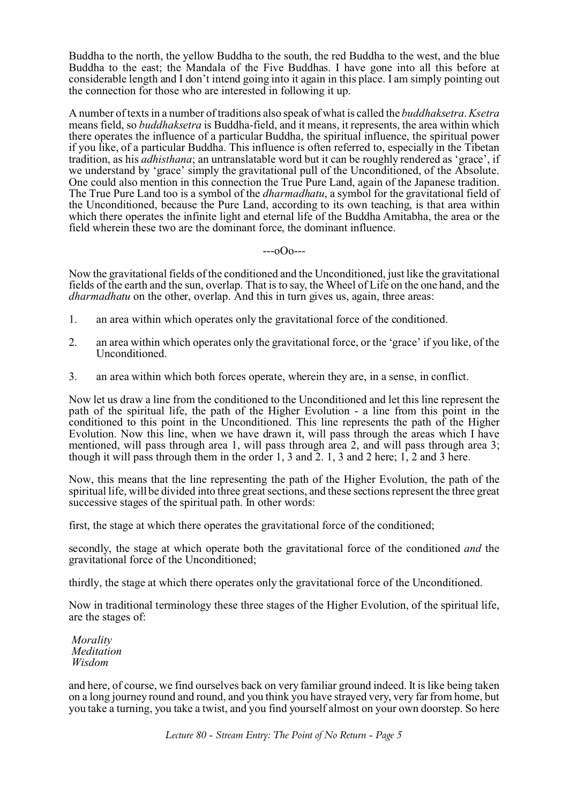Buddha to the north, the yellow Buddha to the south, the red Buddha to the west, and the blue Buddha to the east; the Mandala of the Five Buddhas. I have gone into all this before at considerable length and I don't intend going into it again in this place. I am simply pointing out the connection for those who are interested in following it up.

A number of texts in a number of traditions also speak of what is called the *buddhaksetra*. *Ksetra* means field, so *buddhaksetra* is Buddha-field, and it means, it represents, the area within which there operates the influence of a particular Buddha, the spiritual influence, the spiritual power if you like, of a particular Buddha. This influence is often referred to, especially in the Tibetan tradition, as his *adhisthana*; an untranslatable word but it can be roughly rendered as 'grace', if we understand by 'grace' simply the gravitational pull of the Unconditioned, of the Absolute. One could also mention in this connection the True Pure Land, again of the Japanese tradition. The True Pure Land too is a symbol of the *dharmadhatu*, a symbol for the gravitational field of the Unconditioned, because the Pure Land, according to its own teaching, is that area within which there operates the infinite light and eternal life of the Buddha Amitabha, the area or the field wherein these two are the dominant force, the dominant influence.

### ---oOo---

Now the gravitational fields of the conditioned and the Unconditioned, just like the gravitational fields of the earth and the sun, overlap. That is to say, the Wheel of Life on the one hand, and the *dharmadhatu* on the other, overlap. And this in turn gives us, again, three areas:

- 1. an area within which operates only the gravitational force of the conditioned.
- 2. an area within which operates only the gravitational force, or the 'grace' if you like, of the Unconditioned.
- 3. an area within which both forces operate, wherein they are, in a sense, in conflict.

Now let us draw a line from the conditioned to the Unconditioned and let this line represent the path of the spiritual life, the path of the Higher Evolution - a line from this point in the conditioned to this point in the Unconditioned. This line represents the path of the Higher Evolution. Now this line, when we have drawn it, will pass through the areas which I have mentioned, will pass through area 1, will pass through area 2, and will pass through area 3; though it will pass through them in the order 1, 3 and 2. 1, 3 and 2 here; 1, 2 and 3 here.

Now, this means that the line representing the path of the Higher Evolution, the path of the spiritual life, will be divided into three great sections, and these sections represent the three great successive stages of the spiritual path. In other words:

first, the stage at which there operates the gravitational force of the conditioned;

secondly, the stage at which operate both the gravitational force of the conditioned *and* the gravitational force of the Unconditioned;

thirdly, the stage at which there operates only the gravitational force of the Unconditioned.

Now in traditional terminology these three stages of the Higher Evolution, of the spiritual life, are the stages of:

 *Morality Meditation Wisdom*

and here, of course, we find ourselves back on very familiar ground indeed. It is like being taken on a long journey round and round, and you think you have strayed very, very far from home, but you take a turning, you take a twist, and you find yourself almost on your own doorstep. So here

*Lecture 80 - Stream Entry: The Point of No Return - Page 5*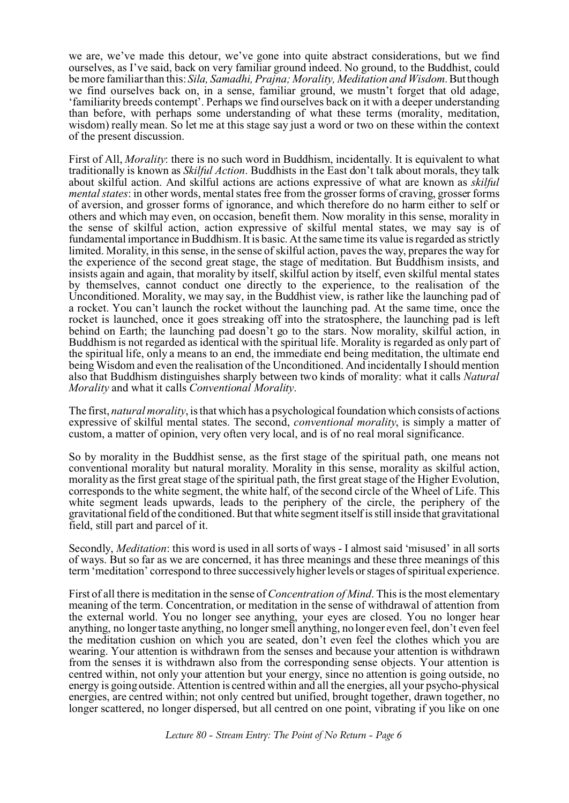we are, we've made this detour, we've gone into quite abstract considerations, but we find ourselves, as I've said, back on very familiar ground indeed. No ground, to the Buddhist, could be more familiar than this: *Sila, Samadhi, Prajna; Morality, Meditation and Wisdom*. But though we find ourselves back on, in a sense, familiar ground, we mustn't forget that old adage, 'familiarity breeds contempt'. Perhaps we find ourselves back on it with a deeper understanding than before, with perhaps some understanding of what these terms (morality, meditation, wisdom) really mean. So let me at this stage say just a word or two on these within the context of the present discussion.

First of All, *Morality*: there is no such word in Buddhism, incidentally. It is equivalent to what traditionally is known as *Skilful Action*. Buddhists in the East don't talk about morals, they talk about skilful action. And skilful actions are actions expressive of what are known as *skilful mental states*: in other words, mental states free from the grosser forms of craving, grosser forms of aversion, and grosser forms of ignorance, and which therefore do no harm either to self or others and which may even, on occasion, benefit them. Now morality in this sense, morality in the sense of skilful action, action expressive of skilful mental states, we may say is of fundamental importance in Buddhism. It is basic. At the same time its value is regarded as strictly limited. Morality, in this sense, in the sense of skilful action, paves the way, prepares the way for the experience of the second great stage, the stage of meditation. But Buddhism insists, and insists again and again, that morality by itself, skilful action by itself, even skilful mental states by themselves, cannot conduct one directly to the experience, to the realisation of the Unconditioned. Morality, we may say, in the Buddhist view, is rather like the launching pad of a rocket. You can't launch the rocket without the launching pad. At the same time, once the rocket is launched, once it goes streaking off into the stratosphere, the launching pad is left behind on Earth; the launching pad doesn't go to the stars. Now morality, skilful action, in Buddhism is not regarded as identical with the spiritual life. Morality is regarded as only part of the spiritual life, only a means to an end, the immediate end being meditation, the ultimate end being Wisdom and even the realisation of the Unconditioned. And incidentally I should mention also that Buddhism distinguishes sharply between two kinds of morality: what it calls *Natural Morality* and what it calls *Conventional Morality*.

The first, *natural morality*, is that which has a psychological foundation which consists of actions expressive of skilful mental states. The second, *conventional morality*, is simply a matter of custom, a matter of opinion, very often very local, and is of no real moral significance.

So by morality in the Buddhist sense, as the first stage of the spiritual path, one means not conventional morality but natural morality. Morality in this sense, morality as skilful action, morality as the first great stage of the spiritual path, the first great stage of the Higher Evolution, corresponds to the white segment, the white half, of the second circle of the Wheel of Life. This white segment leads upwards, leads to the periphery of the circle, the periphery of the gravitational field of the conditioned. But that white segment itself is still inside that gravitational field, still part and parcel of it.

Secondly, *Meditation*: this word is used in all sorts of ways - I almost said 'misused' in all sorts of ways. But so far as we are concerned, it has three meanings and these three meanings of this term 'meditation' correspond to three successively higher levels or stages of spiritual experience.

First of all there is meditation in the sense of *Concentration of Mind*. This is the most elementary meaning of the term. Concentration, or meditation in the sense of withdrawal of attention from the external world. You no longer see anything, your eyes are closed. You no longer hear anything, no longer taste anything, no longer smell anything, no longer even feel, don't even feel the meditation cushion on which you are seated, don't even feel the clothes which you are wearing. Your attention is withdrawn from the senses and because your attention is withdrawn from the senses it is withdrawn also from the corresponding sense objects. Your attention is centred within, not only your attention but your energy, since no attention is going outside, no energy is going outside. Attention is centred within and all the energies, all your psycho-physical energies, are centred within; not only centred but unified, brought together, drawn together, no longer scattered, no longer dispersed, but all centred on one point, vibrating if you like on one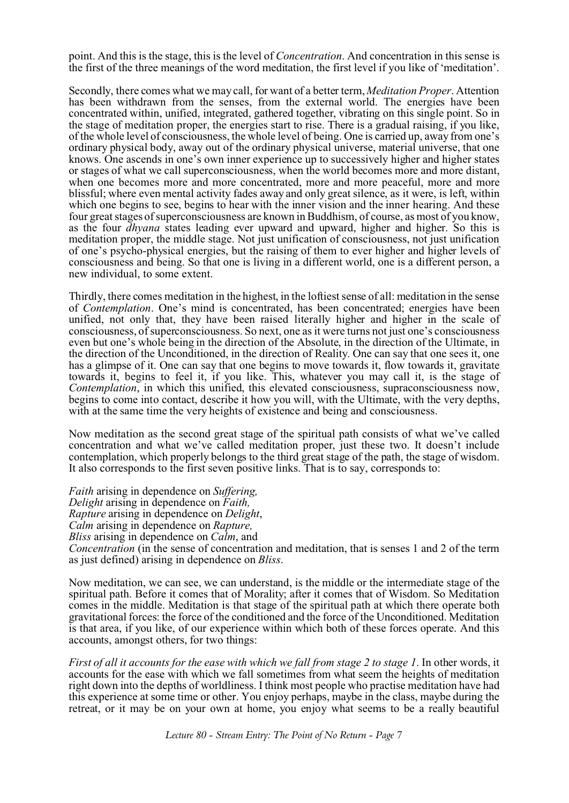point. And this is the stage, this is the level of *Concentration*. And concentration in this sense is the first of the three meanings of the word meditation, the first level if you like of 'meditation'.

Secondly, there comes what we may call, for want of a better term, *Meditation Proper*. Attention has been withdrawn from the senses, from the external world. The energies have been concentrated within, unified, integrated, gathered together, vibrating on this single point. So in the stage of meditation proper, the energies start to rise. There is a gradual raising, if you like, of the whole level of consciousness, the whole level of being. One is carried up, away from one's ordinary physical body, away out of the ordinary physical universe, material universe, that one knows. One ascends in one's own inner experience up to successively higher and higher states or stages of what we call superconsciousness, when the world becomes more and more distant, when one becomes more and more concentrated, more and more peaceful, more and more blissful; where even mental activity fades away and only great silence, as it were, is left, within which one begins to see, begins to hear with the inner vision and the inner hearing. And these four great stages of superconsciousness are known in Buddhism, of course, as most of you know, as the four *dhyana* states leading ever upward and upward, higher and higher. So this is meditation proper, the middle stage. Not just unification of consciousness, not just unification of one's psycho-physical energies, but the raising of them to ever higher and higher levels of consciousness and being. So that one is living in a different world, one is a different person, a new individual, to some extent.

Thirdly, there comes meditation in the highest, in the loftiest sense of all: meditation in the sense of *Contemplation*. One's mind is concentrated, has been concentrated; energies have been unified, not only that, they have been raised literally higher and higher in the scale of consciousness, of superconsciousness. So next, one as it were turns not just one's consciousness even but one's whole being in the direction of the Absolute, in the direction of the Ultimate, in the direction of the Unconditioned, in the direction of Reality. One can say that one sees it, one has a glimpse of it. One can say that one begins to move towards it, flow towards it, gravitate towards it, begins to feel it, if you like. This, whatever you may call it, is the stage of *Contemplation*, in which this unified, this elevated consciousness, supraconsciousness now, begins to come into contact, describe it how you will, with the Ultimate, with the very depths, with at the same time the very heights of existence and being and consciousness.

Now meditation as the second great stage of the spiritual path consists of what we've called concentration and what we've called meditation proper, just these two. It doesn't include contemplation, which properly belongs to the third great stage of the path, the stage of wisdom. It also corresponds to the first seven positive links. That is to say, corresponds to:

*Faith* arising in dependence on *Suffering, Delight* arising in dependence on *Faith, Rapture* arising in dependence on *Delight*, *Calm* arising in dependence on *Rapture, Bliss* arising in dependence on *Calm*, and *Concentration* (in the sense of concentration and meditation, that is senses 1 and 2 of the term as just defined) arising in dependence on *Bliss*.

Now meditation, we can see, we can understand, is the middle or the intermediate stage of the spiritual path. Before it comes that of Morality; after it comes that of Wisdom. So Meditation comes in the middle. Meditation is that stage of the spiritual path at which there operate both gravitational forces: the force of the conditioned and the force of the Unconditioned. Meditation is that area, if you like, of our experience within which both of these forces operate. And this accounts, amongst others, for two things:

*First of all it accounts for the ease with which we fall from stage 2 to stage 1*. In other words, it accounts for the ease with which we fall sometimes from what seem the heights of meditation right down into the depths of worldliness. I think most people who practise meditation have had this experience at some time or other. You enjoy perhaps, maybe in the class, maybe during the retreat, or it may be on your own at home, you enjoy what seems to be a really beautiful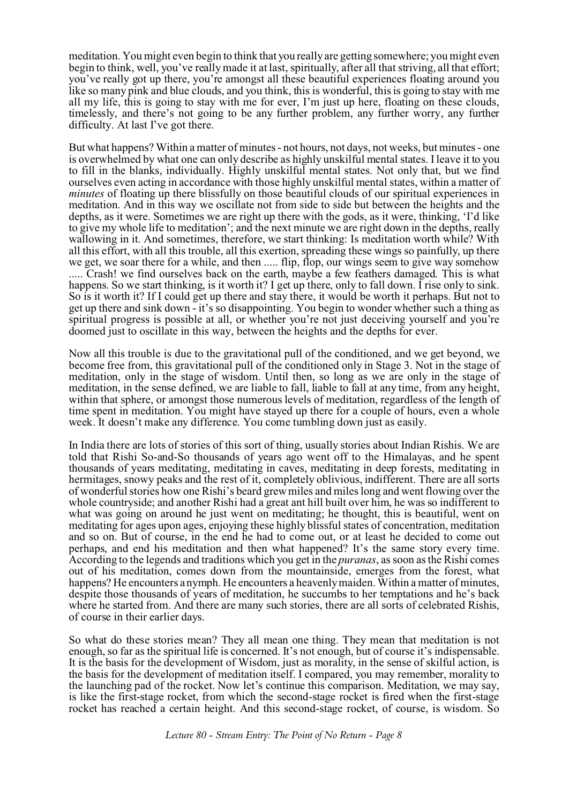meditation. You might even begin to think that you really are getting somewhere; you might even begin to think, well, you've really made it at last, spiritually, after all that striving, all that effort; you've really got up there, you're amongst all these beautiful experiences floating around you like so many pink and blue clouds, and you think, this is wonderful, this is going to stay with me all my life, this is going to stay with me for ever, I'm just up here, floating on these clouds, timelessly, and there's not going to be any further problem, any further worry, any further difficulty. At last I've got there.

But what happens? Within a matter of minutes - not hours, not days, not weeks, but minutes - one is overwhelmed by what one can only describe as highly unskilful mental states. I leave it to you to fill in the blanks, individually. Highly unskilful mental states. Not only that, but we find ourselves even acting in accordance with those highly unskilful mental states, within a matter of *minutes* of floating up there blissfully on those beautiful clouds of our spiritual experiences in meditation. And in this way we oscillate not from side to side but between the heights and the depths, as it were. Sometimes we are right up there with the gods, as it were, thinking, 'I'd like to give my whole life to meditation'; and the next minute we are right down in the depths, really wallowing in it. And sometimes, therefore, we start thinking: Is meditation worth while? With all this effort, with all this trouble, all this exertion, spreading these wings so painfully, up there we get, we soar there for a while, and then ..... flip, flop, our wings seem to give way somehow ..... Crash! we find ourselves back on the earth, maybe a few feathers damaged. This is what happens. So we start thinking, is it worth it? I get up there, only to fall down. I rise only to sink. So is it worth it? If I could get up there and stay there, it would be worth it perhaps. But not to get up there and sink down - it's so disappointing. You begin to wonder whether such a thing as spiritual progress is possible at all, or whether you're not just deceiving yourself and you're doomed just to oscillate in this way, between the heights and the depths for ever.

Now all this trouble is due to the gravitational pull of the conditioned, and we get beyond, we become free from, this gravitational pull of the conditioned only in Stage 3. Not in the stage of meditation, only in the stage of wisdom. Until then, so long as we are only in the stage of meditation, in the sense defined, we are liable to fall, liable to fall at any time, from any height, within that sphere, or amongst those numerous levels of meditation, regardless of the length of time spent in meditation. You might have stayed up there for a couple of hours, even a whole week. It doesn't make any difference. You come tumbling down just as easily.

In India there are lots of stories of this sort of thing, usually stories about Indian Rishis. We are told that Rishi So-and-So thousands of years ago went off to the Himalayas, and he spent thousands of years meditating, meditating in caves, meditating in deep forests, meditating in hermitages, snowy peaks and the rest of it, completely oblivious, indifferent. There are all sorts of wonderful stories how one Rishi's beard grew miles and miles long and went flowing over the whole countryside; and another Rishi had a great ant hill built over him, he was so indifferent to what was going on around he just went on meditating; he thought, this is beautiful, went on meditating for ages upon ages, enjoying these highly blissful states of concentration, meditation and so on. But of course, in the end he had to come out, or at least he decided to come out perhaps, and end his meditation and then what happened? It's the same story every time. According to the legends and traditions which you get in the *puranas*, as soon as the Rishi comes out of his meditation, comes down from the mountainside, emerges from the forest, what happens? He encounters a nymph. He encounters a heavenly maiden. Within a matter of minutes, despite those thousands of years of meditation, he succumbs to her temptations and he's back where he started from. And there are many such stories, there are all sorts of celebrated Rishis, of course in their earlier days.

So what do these stories mean? They all mean one thing. They mean that meditation is not enough, so far as the spiritual life is concerned. It's not enough, but of course it's indispensable. It is the basis for the development of Wisdom, just as morality, in the sense of skilful action, is the basis for the development of meditation itself. I compared, you may remember, morality to the launching pad of the rocket. Now let's continue this comparison. Meditation, we may say, is like the first-stage rocket, from which the second-stage rocket is fired when the first-stage rocket has reached a certain height. And this second-stage rocket, of course, is wisdom. So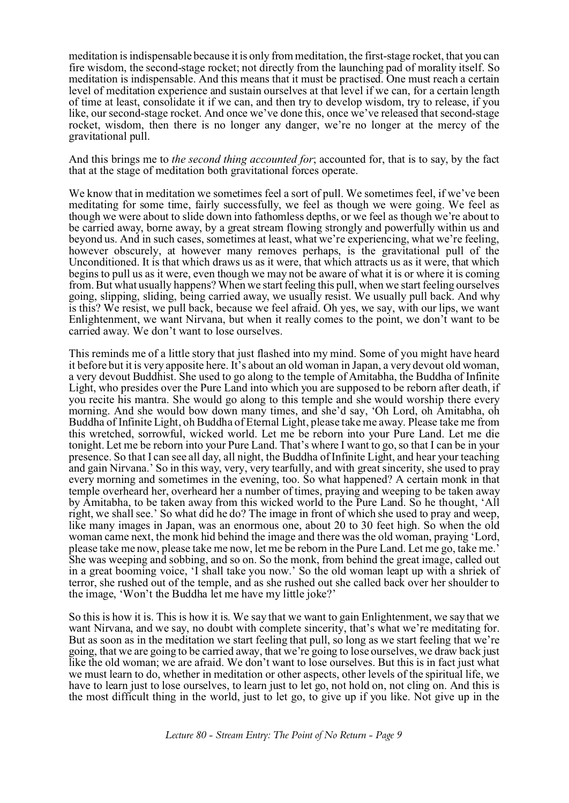meditation is indispensable because it is only from meditation, the first-stage rocket, that you can fire wisdom, the second-stage rocket; not directly from the launching pad of morality itself. So meditation is indispensable. And this means that it must be practised. One must reach a certain level of meditation experience and sustain ourselves at that level if we can, for a certain length of time at least, consolidate it if we can, and then try to develop wisdom, try to release, if you like, our second-stage rocket. And once we've done this, once we've released that second-stage rocket, wisdom, then there is no longer any danger, we're no longer at the mercy of the gravitational pull.

And this brings me to *the second thing accounted for*; accounted for, that is to say, by the fact that at the stage of meditation both gravitational forces operate.

We know that in meditation we sometimes feel a sort of pull. We sometimes feel, if we've been meditating for some time, fairly successfully, we feel as though we were going. We feel as though we were about to slide down into fathomless depths, or we feel as though we're about to be carried away, borne away, by a great stream flowing strongly and powerfully within us and beyond us. And in such cases, sometimes at least, what we're experiencing, what we're feeling, however obscurely, at however many removes perhaps, is the gravitational pull of the Unconditioned. It is that which draws us as it were, that which attracts us as it were, that which begins to pull us as it were, even though we may not be aware of what it is or where it is coming from. But what usually happens? When we start feeling this pull, when we start feeling ourselves going, slipping, sliding, being carried away, we usually resist. We usually pull back. And why is this? We resist, we pull back, because we feel afraid. Oh yes, we say, with our lips, we want Enlightenment, we want Nirvana, but when it really comes to the point, we don't want to be carried away. We don't want to lose ourselves.

This reminds me of a little story that just flashed into my mind. Some of you might have heard it before but it is very apposite here. It's about an old woman in Japan, a very devout old woman, a very devout Buddhist. She used to go along to the temple of Amitabha, the Buddha of Infinite Light, who presides over the Pure Land into which you are supposed to be reborn after death, if you recite his mantra. She would go along to this temple and she would worship there every morning. And she would bow down many times, and she'd say, 'Oh Lord, oh Amitabha, oh Buddha of Infinite Light, oh Buddha of Eternal Light, please take me away. Please take me from this wretched, sorrowful, wicked world. Let me be reborn into your Pure Land. Let me die tonight. Let me be reborn into your Pure Land. That's where I want to go, so that I can be in your presence. So that I can see all day, all night, the Buddha of Infinite Light, and hear your teaching and gain Nirvana.' So in this way, very, very tearfully, and with great sincerity, she used to pray every morning and sometimes in the evening, too. So what happened? A certain monk in that temple overheard her, overheard her a number of times, praying and weeping to be taken away by Amitabha, to be taken away from this wicked world to the Pure Land. So he thought, 'All right, we shall see.' So what did he do? The image in front of which she used to pray and weep, like many images in Japan, was an enormous one, about 20 to 30 feet high. So when the old woman came next, the monk hid behind the image and there was the old woman, praying 'Lord, please take me now, please take me now, let me be reborn in the Pure Land. Let me go, take me.' She was weeping and sobbing, and so on. So the monk, from behind the great image, called out in a great booming voice, 'I shall take you now.' So the old woman leapt up with a shriek of terror, she rushed out of the temple, and as she rushed out she called back over her shoulder to the image, 'Won't the Buddha let me have my little joke?'

So this is how it is. This is how it is. We say that we want to gain Enlightenment, we say that we want Nirvana, and we say, no doubt with complete sincerity, that's what we're meditating for. But as soon as in the meditation we start feeling that pull, so long as we start feeling that we're going, that we are going to be carried away, that we're going to lose ourselves, we draw back just like the old woman; we are afraid. We don't want to lose ourselves. But this is in fact just what we must learn to do, whether in meditation or other aspects, other levels of the spiritual life, we have to learn just to lose ourselves, to learn just to let go, not hold on, not cling on. And this is the most difficult thing in the world, just to let go, to give up if you like. Not give up in the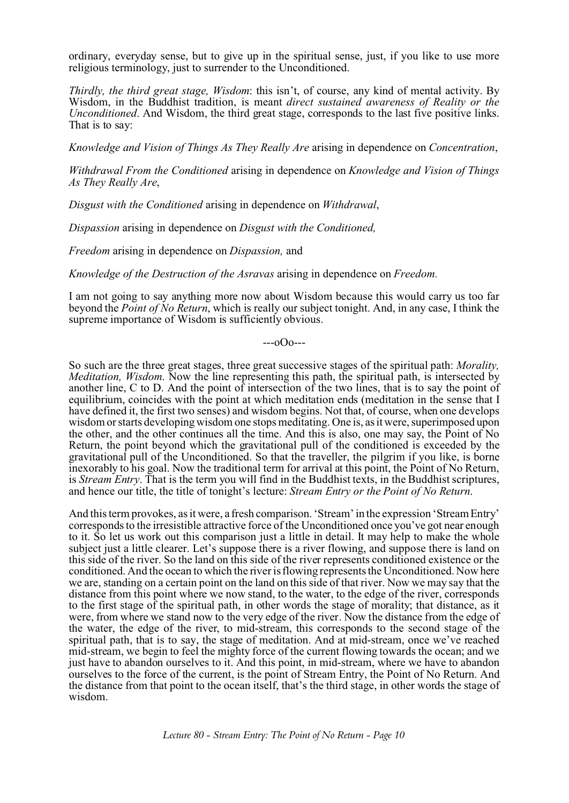ordinary, everyday sense, but to give up in the spiritual sense, just, if you like to use more religious terminology, just to surrender to the Unconditioned.

*Thirdly, the third great stage, Wisdom*: this isn't, of course, any kind of mental activity. By Wisdom, in the Buddhist tradition, is meant *direct sustained awareness of Reality or the Unconditioned*. And Wisdom, the third great stage, corresponds to the last five positive links. That is to say:

*Knowledge and Vision of Things As They Really Are* arising in dependence on *Concentration*,

*Withdrawal From the Conditioned* arising in dependence on *Knowledge and Vision of Things As They Really Are*,

*Disgust with the Conditioned* arising in dependence on *Withdrawal*,

*Dispassion* arising in dependence on *Disgust with the Conditioned,*

*Freedom* arising in dependence on *Dispassion,* and

*Knowledge of the Destruction of the Asravas* arising in dependence on *Freedom.*

I am not going to say anything more now about Wisdom because this would carry us too far beyond the *Point of No Return*, which is really our subject tonight. And, in any case, I think the supreme importance of Wisdom is sufficiently obvious.

 $-0$  $0$  $-$ 

So such are the three great stages, three great successive stages of the spiritual path: *Morality, Meditation, Wisdom*. Now the line representing this path, the spiritual path, is intersected by another line, C to D. And the point of intersection of the two lines, that is to say the point of equilibrium, coincides with the point at which meditation ends (meditation in the sense that I have defined it, the first two senses) and wisdom begins. Not that, of course, when one develops wisdom or starts developing wisdom one stops meditating. One is, as it were, superimposed upon the other, and the other continues all the time. And this is also, one may say, the Point of No Return, the point beyond which the gravitational pull of the conditioned is exceeded by the gravitational pull of the Unconditioned. So that the traveller, the pilgrim if you like, is borne inexorably to his goal. Now the traditional term for arrival at this point, the Point of No Return, is *Stream Entry*. That is the term you will find in the Buddhist texts, in the Buddhist scriptures, and hence our title, the title of tonight's lecture: *Stream Entry or the Point of No Return*.

And this term provokes, as it were, a fresh comparison. 'Stream' in the expression 'Stream Entry' corresponds to the irresistible attractive force of the Unconditioned once you've got near enough to it. So let us work out this comparison just a little in detail. It may help to make the whole subject just a little clearer. Let's suppose there is a river flowing, and suppose there is land on this side of the river. So the land on this side of the river represents conditioned existence or the conditioned. And the ocean to which the river is flowing represents the Unconditioned. Now here we are, standing on a certain point on the land on this side of that river. Now we may say that the distance from this point where we now stand, to the water, to the edge of the river, corresponds to the first stage of the spiritual path, in other words the stage of morality; that distance, as it were, from where we stand now to the very edge of the river. Now the distance from the edge of the water, the edge of the river, to mid-stream, this corresponds to the second stage of the spiritual path, that is to say, the stage of meditation. And at mid-stream, once we've reached mid-stream, we begin to feel the mighty force of the current flowing towards the ocean; and we just have to abandon ourselves to it. And this point, in mid-stream, where we have to abandon ourselves to the force of the current, is the point of Stream Entry, the Point of No Return. And the distance from that point to the ocean itself, that's the third stage, in other words the stage of wisdom.

*Lecture 80 - Stream Entry: The Point of No Return - Page 10*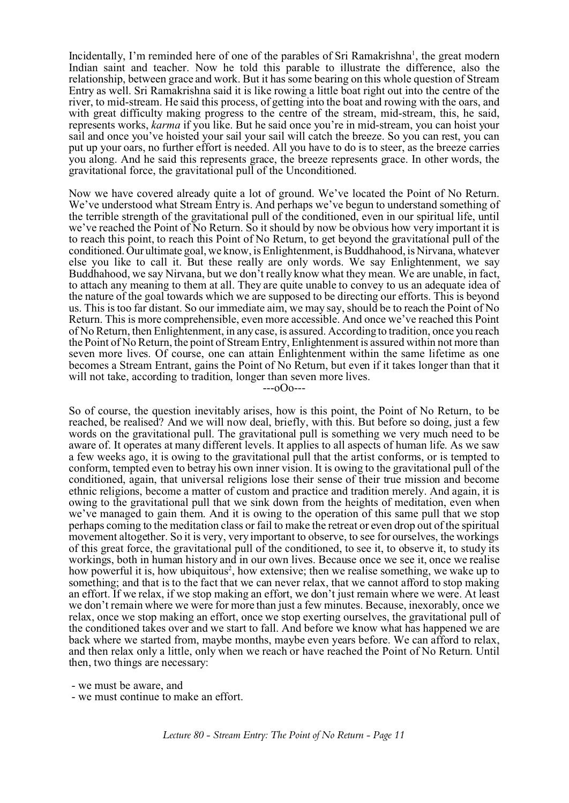Incidentally, I'm reminded here of one of the parables of Sri Ramakrishna<sup>1</sup>, the great modern Indian saint and teacher. Now he told this parable to illustrate the difference, also the relationship, between grace and work. But it has some bearing on this whole question of Stream Entry as well. Sri Ramakrishna said it is like rowing a little boat right out into the centre of the river, to mid-stream. He said this process, of getting into the boat and rowing with the oars, and with great difficulty making progress to the centre of the stream, mid-stream, this, he said, represents works, *karma* if you like. But he said once you're in mid-stream, you can hoist your sail and once you've hoisted your sail your sail will catch the breeze. So you can rest, you can put up your oars, no further effort is needed. All you have to do is to steer, as the breeze carries you along. And he said this represents grace, the breeze represents grace. In other words, the gravitational force, the gravitational pull of the Unconditioned.

Now we have covered already quite a lot of ground. We've located the Point of No Return. We've understood what Stream Entry is. And perhaps we've begun to understand something of the terrible strength of the gravitational pull of the conditioned, even in our spiritual life, until we've reached the Point of No Return. So it should by now be obvious how very important it is to reach this point, to reach this Point of No Return, to get beyond the gravitational pull of the conditioned.Our ultimate goal, we know, is Enlightenment, is Buddhahood, is Nirvana, whatever else you like to call it. But these really are only words. We say Enlightenment, we say Buddhahood, we say Nirvana, but we don't really know what they mean. We are unable, in fact, to attach any meaning to them at all. They are quite unable to convey to us an adequate idea of the nature of the goal towards which we are supposed to be directing our efforts. This is beyond us. This is too far distant. So our immediate aim, we may say, should be to reach the Point of No Return. This is more comprehensible, even more accessible. And once we've reached this Point of No Return, then Enlightenment, in any case, is assured. According to tradition, once you reach the Point of No Return, the point of Stream Entry, Enlightenment is assured within not more than seven more lives. Of course, one can attain Enlightenment within the same lifetime as one becomes a Stream Entrant, gains the Point of No Return, but even if it takes longer than that it will not take, according to tradition, longer than seven more lives.  $-0$  $0$  $-$ 

So of course, the question inevitably arises, how is this point, the Point of No Return, to be reached, be realised? And we will now deal, briefly, with this. But before so doing, just a few words on the gravitational pull. The gravitational pull is something we very much need to be aware of. It operates at many different levels. It applies to all aspects of human life. As we saw a few weeks ago, it is owing to the gravitational pull that the artist conforms, or is tempted to conform, tempted even to betray his own inner vision. It is owing to the gravitational pull of the conditioned, again, that universal religions lose their sense of their true mission and become ethnic religions, become a matter of custom and practice and tradition merely. And again, it is owing to the gravitational pull that we sink down from the heights of meditation, even when we've managed to gain them. And it is owing to the operation of this same pull that we stop perhaps coming to the meditation class or fail to make the retreat or even drop out of the spiritual movement altogether. So it is very, very important to observe, to see for ourselves, the workings of this great force, the gravitational pull of the conditioned, to see it, to observe it, to study its workings, both in human history and in our own lives. Because once we see it, once we realise how powerful it is, how ubiquitous<sup>2</sup>, how extensive; then we realise something, we wake up to something; and that is to the fact that we can never relax, that we cannot afford to stop making an effort. If we relax, if we stop making an effort, we don't just remain where we were. At least we don't remain where we were for more than just a few minutes. Because, inexorably, once we relax, once we stop making an effort, once we stop exerting ourselves, the gravitational pull of the conditioned takes over and we start to fall. And before we know what has happened we are back where we started from, maybe months, maybe even years before. We can afford to relax, and then relax only a little, only when we reach or have reached the Point of No Return. Until then, two things are necessary:

- we must be aware, and

- we must continue to make an effort.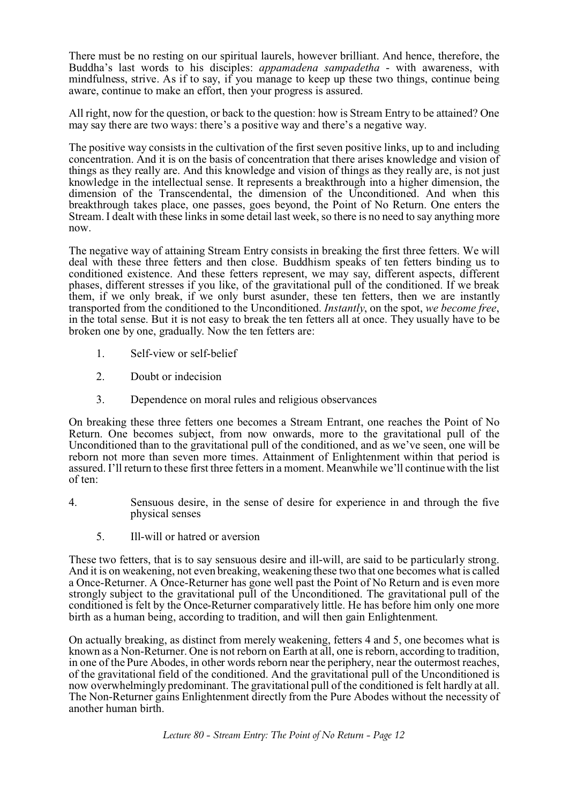There must be no resting on our spiritual laurels, however brilliant. And hence, therefore, the Buddha's last words to his disciples: *appamadena sampadetha* - with awareness, with mindfulness, strive. As if to say, if you manage to keep up these two things, continue being aware, continue to make an effort, then your progress is assured.

All right, now for the question, or back to the question: how is Stream Entry to be attained? One may say there are two ways: there's a positive way and there's a negative way.

The positive way consists in the cultivation of the first seven positive links, up to and including concentration. And it is on the basis of concentration that there arises knowledge and vision of things as they really are. And this knowledge and vision of things as they really are, is not just knowledge in the intellectual sense. It represents a breakthrough into a higher dimension, the dimension of the Transcendental, the dimension of the Unconditioned. And when this breakthrough takes place, one passes, goes beyond, the Point of No Return. One enters the Stream. I dealt with these links in some detail last week, so there is no need to say anything more now.

The negative way of attaining Stream Entry consists in breaking the first three fetters. We will deal with these three fetters and then close. Buddhism speaks of ten fetters binding us to conditioned existence. And these fetters represent, we may say, different aspects, different phases, different stresses if you like, of the gravitational pull of the conditioned. If we break them, if we only break, if we only burst asunder, these ten fetters, then we are instantly transported from the conditioned to the Unconditioned. *Instantly*, on the spot, *we become free*, in the total sense. But it is not easy to break the ten fetters all at once. They usually have to be broken one by one, gradually. Now the ten fetters are:

- 1. Self-view or self-belief
- 2. Doubt or indecision
- 3. Dependence on moral rules and religious observances

On breaking these three fetters one becomes a Stream Entrant, one reaches the Point of No Return. One becomes subject, from now onwards, more to the gravitational pull of the Unconditioned than to the gravitational pull of the conditioned, and as we've seen, one will be reborn not more than seven more times. Attainment of Enlightenment within that period is assured. I'll return to these first three fetters in a moment. Meanwhile we'll continue with the list of ten:

- 4. Sensuous desire, in the sense of desire for experience in and through the five physical senses
	- 5. Ill-will or hatred or aversion

These two fetters, that is to say sensuous desire and ill-will, are said to be particularly strong. And it is on weakening, not even breaking, weakening these two that one becomes what is called a Once-Returner. A Once-Returner has gone well past the Point of No Return and is even more strongly subject to the gravitational pull of the Unconditioned. The gravitational pull of the conditioned is felt by the Once-Returner comparatively little. He has before him only one more birth as a human being, according to tradition, and will then gain Enlightenment.

On actually breaking, as distinct from merely weakening, fetters 4 and 5, one becomes what is known as a Non-Returner. One is not reborn on Earth at all, one is reborn, according to tradition, in one of the Pure Abodes, in other words reborn near the periphery, near the outermost reaches, of the gravitational field of the conditioned. And the gravitational pull of the Unconditioned is now overwhelmingly predominant. The gravitational pull of the conditioned is felt hardly at all. The Non-Returner gains Enlightenment directly from the Pure Abodes without the necessity of another human birth.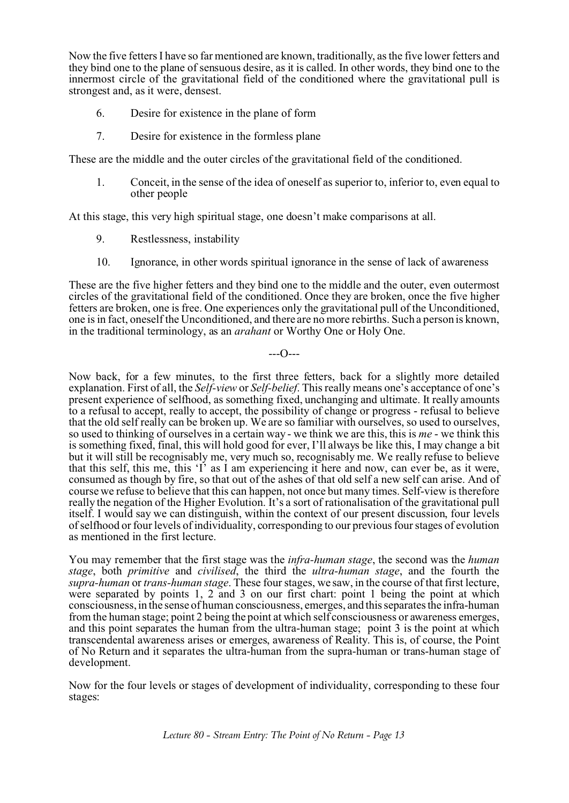Now the five fetters I have so far mentioned are known, traditionally, as the five lower fetters and they bind one to the plane of sensuous desire, as it is called. In other words, they bind one to the innermost circle of the gravitational field of the conditioned where the gravitational pull is strongest and, as it were, densest.

- 6. Desire for existence in the plane of form
- 7. Desire for existence in the formless plane

These are the middle and the outer circles of the gravitational field of the conditioned.

1. Conceit, in the sense of the idea of oneself as superior to, inferior to, even equal to other people

At this stage, this very high spiritual stage, one doesn't make comparisons at all.

- 9. Restlessness, instability
- 10. Ignorance, in other words spiritual ignorance in the sense of lack of awareness

These are the five higher fetters and they bind one to the middle and the outer, even outermost circles of the gravitational field of the conditioned. Once they are broken, once the five higher fetters are broken, one is free. One experiences only the gravitational pull of the Unconditioned, one is in fact, oneself the Unconditioned, and there are no more rebirths. Such a person is known, in the traditional terminology, as an *arahant* or Worthy One or Holy One.

 $-$ - $-$ 

Now back, for a few minutes, to the first three fetters, back for a slightly more detailed explanation. First of all, the *Self-view* or *Self-belief*. This really means one's acceptance of one's present experience of selfhood, as something fixed, unchanging and ultimate. It really amounts to a refusal to accept, really to accept, the possibility of change or progress - refusal to believe that the old self really can be broken up. We are so familiar with ourselves, so used to ourselves, so used to thinking of ourselves in a certain way - we think we are this, this is *me* - we think this is something fixed, final, this will hold good for ever, I'll always be like this, I may change a bit but it will still be recognisably me, very much so, recognisably me. We really refuse to believe that this self, this me, this 'I' as I am experiencing it here and now, can ever be, as it were, consumed as though by fire, so that out of the ashes of that old self a new self can arise. And of course we refuse to believe that this can happen, not once but many times. Self-view is therefore really the negation of the Higher Evolution. It's a sort of rationalisation of the gravitational pull itself. I would say we can distinguish, within the context of our present discussion, four levels of selfhood or four levels of individuality, corresponding to our previous four stages of evolution as mentioned in the first lecture.

You may remember that the first stage was the *infra-human stage*, the second was the *human stage*, both *primitive* and *civilised*, the third the *ultra-human stage*, and the fourth the *supra-human* or *trans-human stage*. These four stages, we saw, in the course of that first lecture, were separated by points 1, 2 and 3 on our first chart: point 1 being the point at which consciousness, in the sense of human consciousness, emerges, and this separates the infra-human from the human stage; point 2 being the point at which self consciousness or awareness emerges, and this point separates the human from the ultra-human stage; point 3 is the point at which transcendental awareness arises or emerges, awareness of Reality. This is, of course, the Point of No Return and it separates the ultra-human from the supra-human or trans-human stage of development.

Now for the four levels or stages of development of individuality, corresponding to these four stages: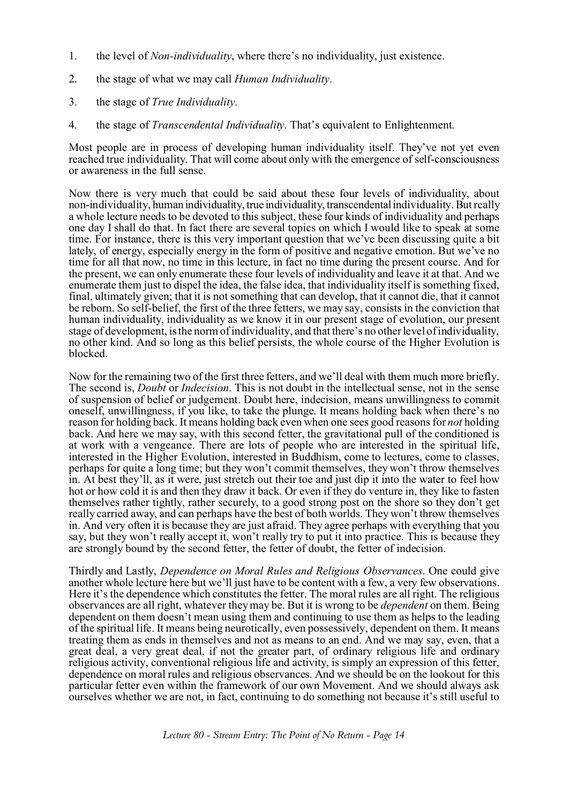- 1. the level of *Non-individuality*, where there's no individuality, just existence.
- 2. the stage of what we may call *Human Individuality*.
- 3. the stage of *True Individuality*.
- 4. the stage of *Transcendental Individuality*. That's equivalent to Enlightenment.

Most people are in process of developing human individuality itself. They've not yet even reached true individuality. That will come about only with the emergence of self-consciousness or awareness in the full sense.

Now there is very much that could be said about these four levels of individuality, about non-individuality, human individuality, true individuality, transcendentalindividuality. But really a whole lecture needs to be devoted to this subject, these four kinds of individuality and perhaps one day I shall do that. In fact there are several topics on which I would like to speak at some time. For instance, there is this very important question that we've been discussing quite a bit lately, of energy, especially energy in the form of positive and negative emotion. But we've no time for all that now, no time in this lecture, in fact no time during the present course. And for the present, we can only enumerate these four levels of individuality and leave it at that. And we enumerate them just to dispel the idea, the false idea, that individuality itself is something fixed, final, ultimately given; that it is not something that can develop, that it cannot die, that it cannot be reborn. So self-belief, the first of the three fetters, we may say, consists in the conviction that human individuality, individuality as we know it in our present stage of evolution, our present stage of development, is the norm of individuality, and that there's no other level of individuality, no other kind. And so long as this belief persists, the whole course of the Higher Evolution is blocked.

Now for the remaining two of the first three fetters, and we'll deal with them much more briefly. The second is, *Doubt* or *Indecision*. This is not doubt in the intellectual sense, not in the sense of suspension of belief or judgement. Doubt here, indecision, means unwillingness to commit oneself, unwillingness, if you like, to take the plunge. It means holding back when there's no reason for holding back. It means holding back even when one sees good reasons for *not* holding back. And here we may say, with this second fetter, the gravitational pull of the conditioned is at work with a vengeance. There are lots of people who are interested in the spiritual life, interested in the Higher Evolution, interested in Buddhism, come to lectures, come to classes, perhaps for quite a long time; but they won't commit themselves, they won't throw themselves in. At best they'll, as it were, just stretch out their toe and just dip it into the water to feel how hot or how cold it is and then they draw it back. Or even if they do venture in, they like to fasten themselves rather tightly, rather securely, to a good strong post on the shore so they don't get really carried away, and can perhaps have the best of both worlds. They won't throw themselves in. And very often it is because they are just afraid. They agree perhaps with everything that you say, but they won't really accept it, won't really try to put it into practice. This is because they are strongly bound by the second fetter, the fetter of doubt, the fetter of indecision.

Thirdly and Lastly, *Dependence on Moral Rules and Religious Observances*. One could give another whole lecture here but we'll just have to be content with a few, a very few observations. Here it's the dependence which constitutes the fetter. The moral rules are all right. The religious observances are all right, whatever they may be. But it is wrong to be *dependent* on them. Being dependent on them doesn't mean using them and continuing to use them as helps to the leading of the spiritual life. It means being neurotically, even possessively, dependent on them. It means treating them as ends in themselves and not as means to an end. And we may say, even, that a great deal, a very great deal, if not the greater part, of ordinary religious life and ordinary religious activity, conventional religious life and activity, is simply an expression of this fetter, dependence on moral rules and religious observances. And we should be on the lookout for this particular fetter even within the framework of our own Movement. And we should always ask ourselves whether we are not, in fact, continuing to do something not because it's still useful to